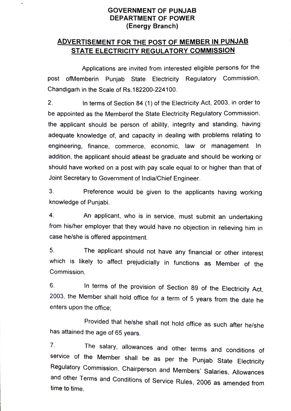## GOVERNMENT OF PUNJAB DEPARTMENT OF POWER (Energy Branch)

ú,

## ADVERTISEMENT FOR THE POST OF MEMBER IN PUNJAB STATE ELECTRICITY REGULATORY COMMISSION

Applications are invited from interested eligible persons for the post ofMemberin Punjab State Electricity Regulatory Commission, Chandigarh in the Scale of Rs.182200-224100.

2. In terms of Section 84 (1) of the Electricity Act, 2003, in order to be appointed as the Memberof the State Electricity Regulatory Commission, the applicant should be person of ability, integrity and standing, having adequate knowledge of, and capacity in dealing with problems relating to engineering, finance, commerce, economic, law or management. In addition, the applicant should atleast be graduate and should be working or should have worked on a post with pay scale equal to or higher than that of Joint Secretary to Government of India/Chief Engineer.

3 Preference would be given to the applicants having working knowledge of Punjabi.

4. An applicant, who is in service, must submit an undertaking from his/her employer that they would have no objection in relieving him in case he/she is offered appointment.

5. The applicant should not have any financial or other interest which is likely to affect prejudicially in functions as Member of the Commission.

6. In terms of the provision of Section 89 of the Electricity Act, 2003, the Member shall hold office for a term of 5 years from the date he enters upon the office;

Provided that he/she shall not hold office as such after he/she has attained the age of 65 years

7. The salary, allowances and other terms and conditions of<br>service of the Member shall be as per the Punjab State Electricity Regulatory Commission, Chairperson and Members' Salaries, Allowances and other Terms and Conditions of Service Rules, 2006 as amended from time to time.